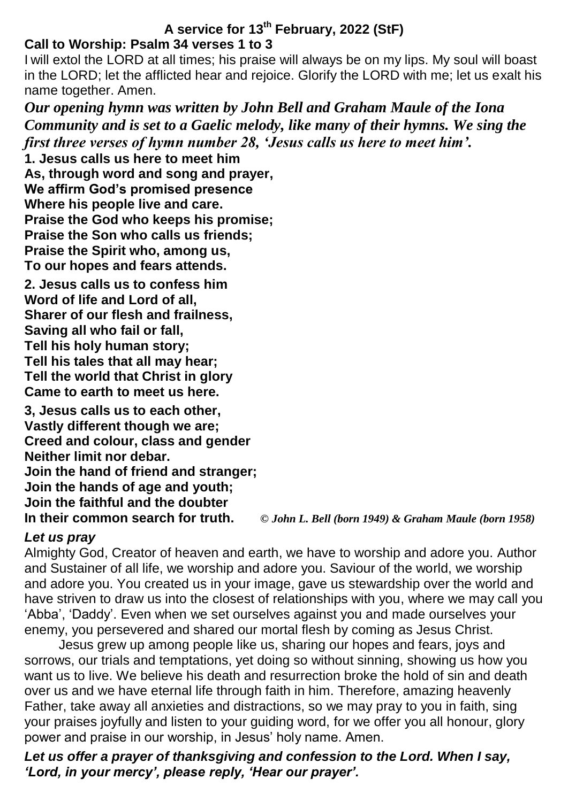## **A service for 13th February, 2022 (StF) Call to Worship: Psalm 34 verses 1 to 3**

I will extol the LORD at all times; his praise will always be on my lips. My soul will boast in the LORD; let the afflicted hear and rejoice. Glorify the LORD with me; let us exalt his name together. Amen.

*Our opening hymn was written by John Bell and Graham Maule of the Iona Community and is set to a Gaelic melody, like many of their hymns. We sing the first three verses of hymn number 28, 'Jesus calls us here to meet him'.*

**1. Jesus calls us here to meet him As, through word and song and prayer, We affirm God's promised presence Where his people live and care. Praise the God who keeps his promise; Praise the Son who calls us friends; Praise the Spirit who, among us, To our hopes and fears attends.**

**2. Jesus calls us to confess him Word of life and Lord of all, Sharer of our flesh and frailness, Saving all who fail or fall, Tell his holy human story; Tell his tales that all may hear; Tell the world that Christ in glory Came to earth to meet us here.**

**3, Jesus calls us to each other, Vastly different though we are; Creed and colour, class and gender Neither limit nor debar. Join the hand of friend and stranger; Join the hands of age and youth; Join the faithful and the doubter**

**In their common search for truth.** *© John L. Bell (born 1949) & Graham Maule (born 1958)*

## *Let us pray*

Almighty God, Creator of heaven and earth, we have to worship and adore you. Author and Sustainer of all life, we worship and adore you. Saviour of the world, we worship and adore you. You created us in your image, gave us stewardship over the world and have striven to draw us into the closest of relationships with you, where we may call you 'Abba', 'Daddy'. Even when we set ourselves against you and made ourselves your enemy, you persevered and shared our mortal flesh by coming as Jesus Christ.

Jesus grew up among people like us, sharing our hopes and fears, joys and sorrows, our trials and temptations, yet doing so without sinning, showing us how you want us to live. We believe his death and resurrection broke the hold of sin and death over us and we have eternal life through faith in him. Therefore, amazing heavenly Father, take away all anxieties and distractions, so we may pray to you in faith, sing your praises joyfully and listen to your guiding word, for we offer you all honour, glory power and praise in our worship, in Jesus' holy name. Amen.

*Let us offer a prayer of thanksgiving and confession to the Lord. When I say, 'Lord, in your mercy', please reply, 'Hear our prayer'.*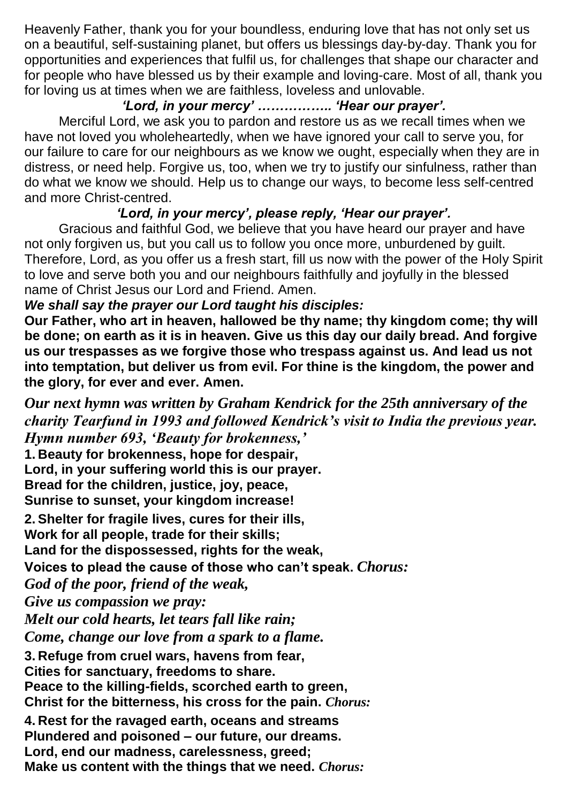Heavenly Father, thank you for your boundless, enduring love that has not only set us on a beautiful, self-sustaining planet, but offers us blessings day-by-day. Thank you for opportunities and experiences that fulfil us, for challenges that shape our character and for people who have blessed us by their example and loving-care. Most of all, thank you for loving us at times when we are faithless, loveless and unlovable.

## *'Lord, in your mercy' …………….. 'Hear our prayer'.*

Merciful Lord, we ask you to pardon and restore us as we recall times when we have not loved you wholeheartedly, when we have ignored your call to serve you, for our failure to care for our neighbours as we know we ought, especially when they are in distress, or need help. Forgive us, too, when we try to justify our sinfulness, rather than do what we know we should. Help us to change our ways, to become less self-centred and more Christ-centred.

# *'Lord, in your mercy', please reply, 'Hear our prayer'.*

Gracious and faithful God, we believe that you have heard our prayer and have not only forgiven us, but you call us to follow you once more, unburdened by guilt. Therefore, Lord, as you offer us a fresh start, fill us now with the power of the Holy Spirit to love and serve both you and our neighbours faithfully and joyfully in the blessed name of Christ Jesus our Lord and Friend. Amen.

# *We shall say the prayer our Lord taught his disciples:*

**Our Father, who art in heaven, hallowed be thy name; thy kingdom come; thy will be done; on earth as it is in heaven. Give us this day our daily bread. And forgive us our trespasses as we forgive those who trespass against us. And lead us not into temptation, but deliver us from evil. For thine is the kingdom, the power and the glory, for ever and ever. Amen.**

*Our next hymn was written by Graham Kendrick for the 25th anniversary of the charity Tearfund in 1993 and followed Kendrick's visit to India the previous year. Hymn number 693, 'Beauty for brokenness,'*

**1. Beauty for brokenness, hope for despair, Lord, in your suffering world this is our prayer. Bread for the children, justice, joy, peace, Sunrise to sunset, your kingdom increase!**

**2. Shelter for fragile lives, cures for their ills,**

**Work for all people, trade for their skills;**

**Land for the dispossessed, rights for the weak,**

**Voices to plead the cause of those who can't speak.** *Chorus:*

*God of the poor, friend of the weak,*

*Give us compassion we pray:*

*Melt our cold hearts, let tears fall like rain;*

*Come, change our love from a spark to a flame.*

**3. Refuge from cruel wars, havens from fear,**

**Cities for sanctuary, freedoms to share.**

**Peace to the killing-fields, scorched earth to green,**

**Christ for the bitterness, his cross for the pain.** *Chorus:*

**4. Rest for the ravaged earth, oceans and streams Plundered and poisoned – our future, our dreams. Lord, end our madness, carelessness, greed; Make us content with the things that we need.** *Chorus:*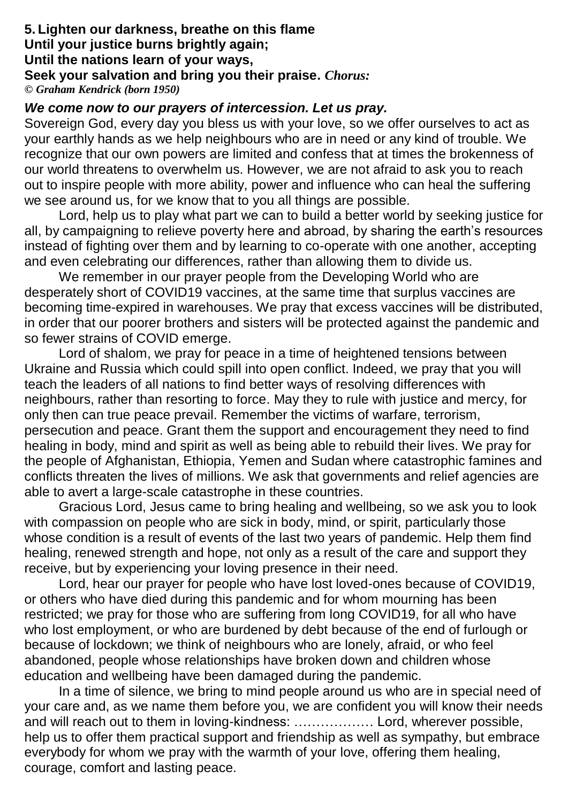#### **5. Lighten our darkness, breathe on this flame Until your justice burns brightly again; Until the nations learn of your ways, Seek your salvation and bring you their praise.** *Chorus: © Graham Kendrick (born 1950)*

### *We come now to our prayers of intercession. Let us pray.*

Sovereign God, every day you bless us with your love, so we offer ourselves to act as your earthly hands as we help neighbours who are in need or any kind of trouble. We recognize that our own powers are limited and confess that at times the brokenness of our world threatens to overwhelm us. However, we are not afraid to ask you to reach out to inspire people with more ability, power and influence who can heal the suffering we see around us, for we know that to you all things are possible.

Lord, help us to play what part we can to build a better world by seeking justice for all, by campaigning to relieve poverty here and abroad, by sharing the earth's resources instead of fighting over them and by learning to co-operate with one another, accepting and even celebrating our differences, rather than allowing them to divide us.

We remember in our prayer people from the Developing World who are desperately short of COVID19 vaccines, at the same time that surplus vaccines are becoming time-expired in warehouses. We pray that excess vaccines will be distributed, in order that our poorer brothers and sisters will be protected against the pandemic and so fewer strains of COVID emerge.

Lord of shalom, we pray for peace in a time of heightened tensions between Ukraine and Russia which could spill into open conflict. Indeed, we pray that you will teach the leaders of all nations to find better ways of resolving differences with neighbours, rather than resorting to force. May they to rule with justice and mercy, for only then can true peace prevail. Remember the victims of warfare, terrorism, persecution and peace. Grant them the support and encouragement they need to find healing in body, mind and spirit as well as being able to rebuild their lives. We pray for the people of Afghanistan, Ethiopia, Yemen and Sudan where catastrophic famines and conflicts threaten the lives of millions. We ask that governments and relief agencies are able to avert a large-scale catastrophe in these countries.

Gracious Lord, Jesus came to bring healing and wellbeing, so we ask you to look with compassion on people who are sick in body, mind, or spirit, particularly those whose condition is a result of events of the last two years of pandemic. Help them find healing, renewed strength and hope, not only as a result of the care and support they receive, but by experiencing your loving presence in their need.

Lord, hear our prayer for people who have lost loved-ones because of COVID19, or others who have died during this pandemic and for whom mourning has been restricted; we pray for those who are suffering from long COVID19, for all who have who lost employment, or who are burdened by debt because of the end of furlough or because of lockdown; we think of neighbours who are lonely, afraid, or who feel abandoned, people whose relationships have broken down and children whose education and wellbeing have been damaged during the pandemic.

In a time of silence, we bring to mind people around us who are in special need of your care and, as we name them before you, we are confident you will know their needs and will reach out to them in loving-kindness: ……………… Lord, wherever possible, help us to offer them practical support and friendship as well as sympathy, but embrace everybody for whom we pray with the warmth of your love, offering them healing, courage, comfort and lasting peace.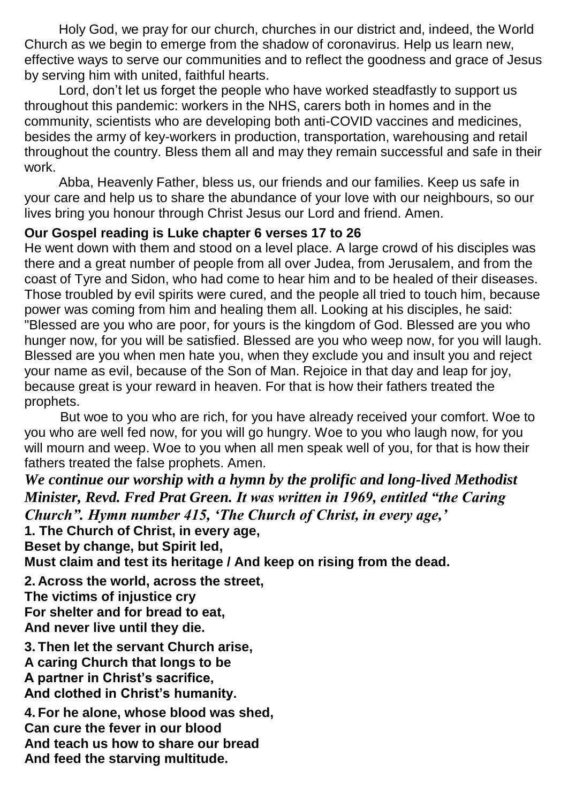Holy God, we pray for our church, churches in our district and, indeed, the World Church as we begin to emerge from the shadow of coronavirus. Help us learn new, effective ways to serve our communities and to reflect the goodness and grace of Jesus by serving him with united, faithful hearts.

Lord, don't let us forget the people who have worked steadfastly to support us throughout this pandemic: workers in the NHS, carers both in homes and in the community, scientists who are developing both anti-COVID vaccines and medicines, besides the army of key-workers in production, transportation, warehousing and retail throughout the country. Bless them all and may they remain successful and safe in their work.

Abba, Heavenly Father, bless us, our friends and our families. Keep us safe in your care and help us to share the abundance of your love with our neighbours, so our lives bring you honour through Christ Jesus our Lord and friend. Amen.

## **Our Gospel reading is Luke chapter 6 verses 17 to 26**

He went down with them and stood on a level place. A large crowd of his disciples was there and a great number of people from all over Judea, from Jerusalem, and from the coast of Tyre and Sidon, who had come to hear him and to be healed of their diseases. Those troubled by evil spirits were cured, and the people all tried to touch him, because power was coming from him and healing them all. Looking at his disciples, he said: "Blessed are you who are poor, for yours is the kingdom of God. Blessed are you who hunger now, for you will be satisfied. Blessed are you who weep now, for you will laugh. Blessed are you when men hate you, when they exclude you and insult you and reject your name as evil, because of the Son of Man. Rejoice in that day and leap for joy, because great is your reward in heaven. For that is how their fathers treated the prophets.

 But woe to you who are rich, for you have already received your comfort. Woe to you who are well fed now, for you will go hungry. Woe to you who laugh now, for you will mourn and weep. Woe to you when all men speak well of you, for that is how their fathers treated the false prophets. Amen.

*We continue our worship with a hymn by the prolific and long-lived Methodist Minister, Revd. Fred Prat Green. It was written in 1969, entitled "the Caring Church". Hymn number 415, 'The Church of Christ, in every age,'*

**1. The Church of Christ, in every age,**

**Beset by change, but Spirit led,**

**Must claim and test its heritage / And keep on rising from the dead.**

**2. Across the world, across the street, The victims of injustice cry For shelter and for bread to eat, And never live until they die.**

**3. Then let the servant Church arise, A caring Church that longs to be A partner in Christ's sacrifice, And clothed in Christ's humanity.**

**4. For he alone, whose blood was shed, Can cure the fever in our blood And teach us how to share our bread And feed the starving multitude.**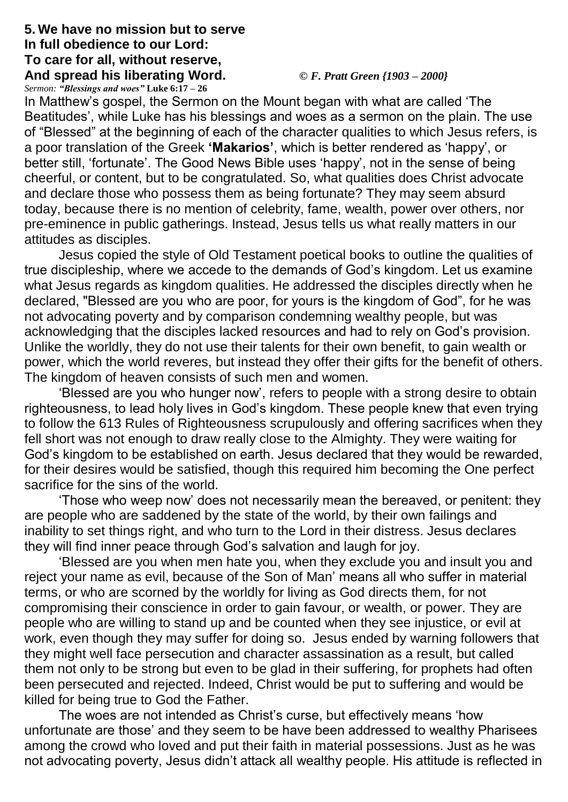## **5. We have no mission but to serve In full obedience to our Lord: To care for all, without reserve, And spread his liberating Word.** *© F. Pratt Green {1903 – 2000}*

*Sermon: "Blessings and woes"* **Luke 6:17 – 26**

In Matthew's gospel, the Sermon on the Mount began with what are called 'The Beatitudes', while Luke has his blessings and woes as a sermon on the plain. The use of "Blessed" at the beginning of each of the character qualities to which Jesus refers, is a poor translation of the Greek **'Makarios'**, which is better rendered as 'happy', or better still, 'fortunate'. The Good News Bible uses 'happy', not in the sense of being cheerful, or content, but to be congratulated. So, what qualities does Christ advocate and declare those who possess them as being fortunate? They may seem absurd today, because there is no mention of celebrity, fame, wealth, power over others, nor pre-eminence in public gatherings. Instead, Jesus tells us what really matters in our attitudes as disciples.

Jesus copied the style of Old Testament poetical books to outline the qualities of true discipleship, where we accede to the demands of God's kingdom. Let us examine what Jesus regards as kingdom qualities. He addressed the disciples directly when he declared, "Blessed are you who are poor, for yours is the kingdom of God", for he was not advocating poverty and by comparison condemning wealthy people, but was acknowledging that the disciples lacked resources and had to rely on God's provision. Unlike the worldly, they do not use their talents for their own benefit, to gain wealth or power, which the world reveres, but instead they offer their gifts for the benefit of others. The kingdom of heaven consists of such men and women.

'Blessed are you who hunger now', refers to people with a strong desire to obtain righteousness, to lead holy lives in God's kingdom. These people knew that even trying to follow the 613 Rules of Righteousness scrupulously and offering sacrifices when they fell short was not enough to draw really close to the Almighty. They were waiting for God's kingdom to be established on earth. Jesus declared that they would be rewarded, for their desires would be satisfied, though this required him becoming the One perfect sacrifice for the sins of the world.

'Those who weep now' does not necessarily mean the bereaved, or penitent: they are people who are saddened by the state of the world, by their own failings and inability to set things right, and who turn to the Lord in their distress. Jesus declares they will find inner peace through God's salvation and laugh for joy.

'Blessed are you when men hate you, when they exclude you and insult you and reject your name as evil, because of the Son of Man' means all who suffer in material terms, or who are scorned by the worldly for living as God directs them, for not compromising their conscience in order to gain favour, or wealth, or power. They are people who are willing to stand up and be counted when they see injustice, or evil at work, even though they may suffer for doing so. Jesus ended by warning followers that they might well face persecution and character assassination as a result, but called them not only to be strong but even to be glad in their suffering, for prophets had often been persecuted and rejected. Indeed, Christ would be put to suffering and would be killed for being true to God the Father.

The woes are not intended as Christ's curse, but effectively means 'how unfortunate are those' and they seem to be have been addressed to wealthy Pharisees among the crowd who loved and put their faith in material possessions. Just as he was not advocating poverty, Jesus didn't attack all wealthy people. His attitude is reflected in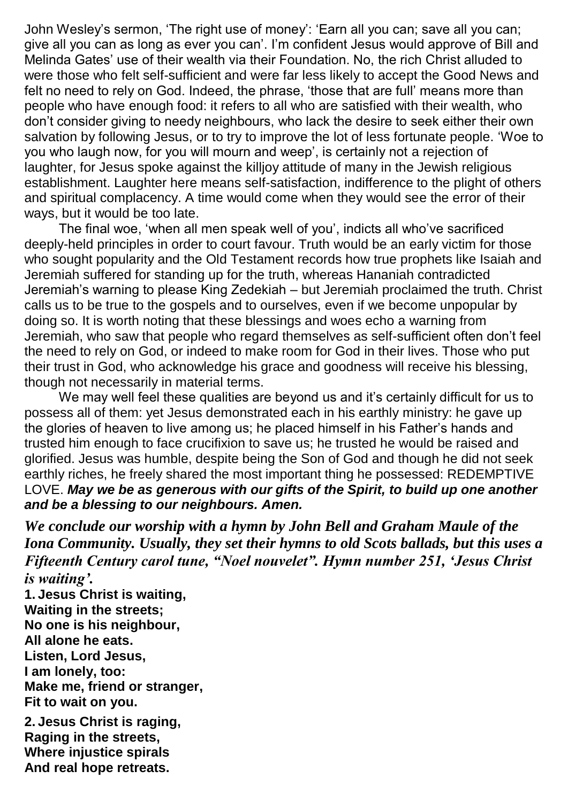John Wesley's sermon, 'The right use of money': 'Earn all you can; save all you can; give all you can as long as ever you can'. I'm confident Jesus would approve of Bill and Melinda Gates' use of their wealth via their Foundation. No, the rich Christ alluded to were those who felt self-sufficient and were far less likely to accept the Good News and felt no need to rely on God. Indeed, the phrase, 'those that are full' means more than people who have enough food: it refers to all who are satisfied with their wealth, who don't consider giving to needy neighbours, who lack the desire to seek either their own salvation by following Jesus, or to try to improve the lot of less fortunate people. 'Woe to you who laugh now, for you will mourn and weep', is certainly not a rejection of laughter, for Jesus spoke against the killjoy attitude of many in the Jewish religious establishment. Laughter here means self-satisfaction, indifference to the plight of others and spiritual complacency. A time would come when they would see the error of their ways, but it would be too late.

The final woe, 'when all men speak well of you', indicts all who've sacrificed deeply-held principles in order to court favour. Truth would be an early victim for those who sought popularity and the Old Testament records how true prophets like Isaiah and Jeremiah suffered for standing up for the truth, whereas Hananiah contradicted Jeremiah's warning to please King Zedekiah – but Jeremiah proclaimed the truth. Christ calls us to be true to the gospels and to ourselves, even if we become unpopular by doing so. It is worth noting that these blessings and woes echo a warning from Jeremiah, who saw that people who regard themselves as self-sufficient often don't feel the need to rely on God, or indeed to make room for God in their lives. Those who put their trust in God, who acknowledge his grace and goodness will receive his blessing, though not necessarily in material terms.

We may well feel these qualities are beyond us and it's certainly difficult for us to possess all of them: yet Jesus demonstrated each in his earthly ministry: he gave up the glories of heaven to live among us; he placed himself in his Father's hands and trusted him enough to face crucifixion to save us; he trusted he would be raised and glorified. Jesus was humble, despite being the Son of God and though he did not seek earthly riches, he freely shared the most important thing he possessed: REDEMPTIVE LOVE. *May we be as generous with our gifts of the Spirit, to build up one another and be a blessing to our neighbours. Amen.*

*We conclude our worship with a hymn by John Bell and Graham Maule of the Iona Community. Usually, they set their hymns to old Scots ballads, but this uses a Fifteenth Century carol tune, "Noel nouvelet". Hymn number 251, 'Jesus Christ is waiting'.*

**1. Jesus Christ is waiting, Waiting in the streets; No one is his neighbour, All alone he eats. Listen, Lord Jesus, I am lonely, too: Make me, friend or stranger, Fit to wait on you.**

**2. Jesus Christ is raging, Raging in the streets, Where injustice spirals And real hope retreats.**